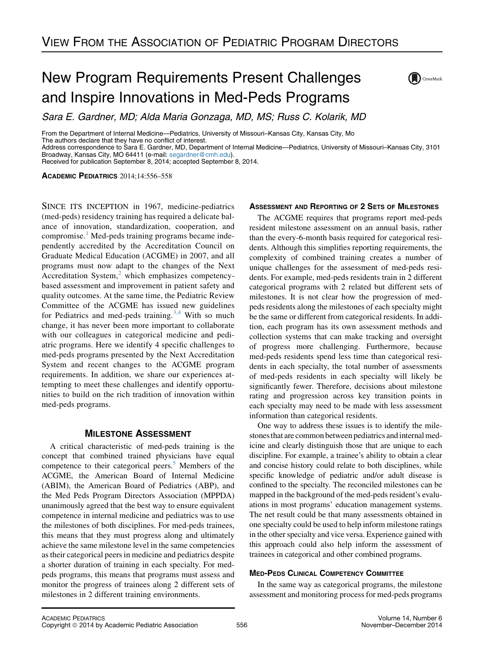# New Program Requirements Present Challenges and Inspire Innovations in Med-Peds Programs



Sara E. Gardner, MD; Alda Maria Gonzaga, MD, MS; Russ C. Kolarik, MD

From the Department of Internal Medicine—Pediatrics, University of Missouri–Kansas City, Kansas City, Mo

The authors declare that they have no conflict of interest. Address correspondence to Sara E. Gardner, MD, Department of Internal Medicine—Pediatrics, University of Missouri–Kansas City, 3101 Broadway, Kansas City, MO 64411 (e-mail: [segardner@cmh.edu\)](mailto:segardner@cmh.edu).

Received for publication September 8, 2014; accepted September 8, 2014.

ACADEMIC PEDIATRICS 2014;14:556–558

SINCE ITS INCEPTION in 1967, medicine-pediatrics (med-peds) residency training has required a delicate balance of innovation, standardization, cooperation, and compromise.<sup>[1](#page-2-0)</sup> Med-peds training programs became independently accredited by the Accreditation Council on Graduate Medical Education (ACGME) in 2007, and all programs must now adapt to the changes of the Next Accreditation System, $2$  which emphasizes competencybased assessment and improvement in patient safety and quality outcomes. At the same time, the Pediatric Review Committee of the ACGME has issued new guidelines for Pediatrics and med-peds training.<sup>[3,4](#page-2-0)</sup> With so much change, it has never been more important to collaborate with our colleagues in categorical medicine and pediatric programs. Here we identify 4 specific challenges to med-peds programs presented by the Next Accreditation System and recent changes to the ACGME program requirements. In addition, we share our experiences attempting to meet these challenges and identify opportunities to build on the rich tradition of innovation within med-peds programs.

## MILESTONE ASSESSMENT

A critical characteristic of med-peds training is the concept that combined trained physicians have equal competence to their categorical peers.<sup>[5](#page-2-0)</sup> Members of the ACGME, the American Board of Internal Medicine (ABIM), the American Board of Pediatrics (ABP), and the Med Peds Program Directors Association (MPPDA) unanimously agreed that the best way to ensure equivalent competence in internal medicine and pediatrics was to use the milestones of both disciplines. For med-peds trainees, this means that they must progress along and ultimately achieve the same milestone level in the same competencies as their categorical peers in medicine and pediatrics despite a shorter duration of training in each specialty. For medpeds programs, this means that programs must assess and monitor the progress of trainees along 2 different sets of milestones in 2 different training environments.

#### ASSESSMENT AND REPORTING OF 2 SETS OF MILESTONES

The ACGME requires that programs report med-peds resident milestone assessment on an annual basis, rather than the every-6-month basis required for categorical residents. Although this simplifies reporting requirements, the complexity of combined training creates a number of unique challenges for the assessment of med-peds residents. For example, med-peds residents train in 2 different categorical programs with 2 related but different sets of milestones. It is not clear how the progression of medpeds residents along the milestones of each specialty might be the same or different from categorical residents. In addition, each program has its own assessment methods and collection systems that can make tracking and oversight of progress more challenging. Furthermore, because med-peds residents spend less time than categorical residents in each specialty, the total number of assessments of med-peds residents in each specialty will likely be significantly fewer. Therefore, decisions about milestone rating and progression across key transition points in each specialty may need to be made with less assessment information than categorical residents.

One way to address these issues is to identify the milestones that are common between pediatrics and internal medicine and clearly distinguish those that are unique to each discipline. For example, a trainee's ability to obtain a clear and concise history could relate to both disciplines, while specific knowledge of pediatric and/or adult disease is confined to the specialty. The reconciled milestones can be mapped in the background of the med-peds resident's evaluations in most programs' education management systems. The net result could be that many assessments obtained in one specialty could be used to help inform milestone ratings in the other specialty and vice versa. Experience gained with this approach could also help inform the assessment of trainees in categorical and other combined programs.

# MED-PEDS CLINICAL COMPETENCY COMMITTEE

In the same way as categorical programs, the milestone assessment and monitoring process for med-peds programs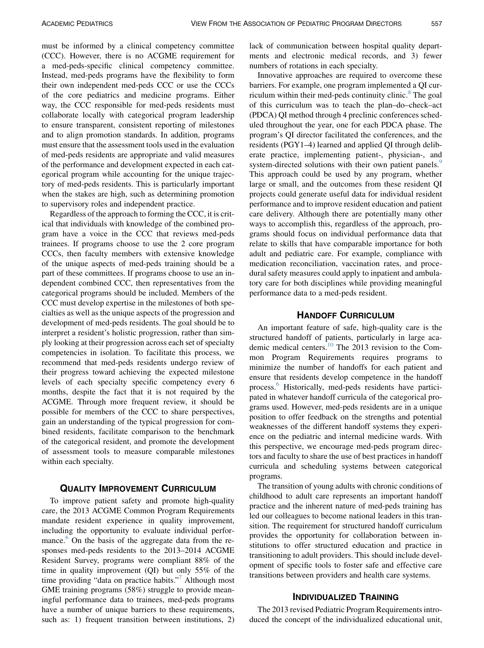must be informed by a clinical competency committee (CCC). However, there is no ACGME requirement for a med-peds-specific clinical competency committee. Instead, med-peds programs have the flexibility to form their own independent med-peds CCC or use the CCCs of the core pediatrics and medicine programs. Either way, the CCC responsible for med-peds residents must collaborate locally with categorical program leadership to ensure transparent, consistent reporting of milestones and to align promotion standards. In addition, programs must ensure that the assessment tools used in the evaluation of med-peds residents are appropriate and valid measures of the performance and development expected in each categorical program while accounting for the unique trajectory of med-peds residents. This is particularly important when the stakes are high, such as determining promotion to supervisory roles and independent practice.

Regardless of the approach to forming the CCC, it is critical that individuals with knowledge of the combined program have a voice in the CCC that reviews med-peds trainees. If programs choose to use the 2 core program CCCs, then faculty members with extensive knowledge of the unique aspects of med-peds training should be a part of these committees. If programs choose to use an independent combined CCC, then representatives from the categorical programs should be included. Members of the CCC must develop expertise in the milestones of both specialties as well as the unique aspects of the progression and development of med-peds residents. The goal should be to interpret a resident's holistic progression, rather than simply looking at their progression across each set of specialty competencies in isolation. To facilitate this process, we recommend that med-peds residents undergo review of their progress toward achieving the expected milestone levels of each specialty specific competency every 6 months, despite the fact that it is not required by the ACGME. Through more frequent review, it should be possible for members of the CCC to share perspectives, gain an understanding of the typical progression for combined residents, facilitate comparison to the benchmark of the categorical resident, and promote the development of assessment tools to measure comparable milestones within each specialty.

#### QUALITY IMPROVEMENT CURRICULUM

To improve patient safety and promote high-quality care, the 2013 ACGME Common Program Requirements mandate resident experience in quality improvement, including the opportunity to evaluate individual performance. $<sup>6</sup>$  On the basis of the aggregate data from the re-</sup> sponses med-peds residents to the 2013–2014 ACGME Resident Survey, programs were compliant 88% of the time in quality improvement (QI) but only 55% of the time providing "data on practice habits."<sup>[7](#page-2-0)</sup> Although most GME training programs (58%) struggle to provide meaningful performance data to trainees, med-peds programs have a number of unique barriers to these requirements, such as: 1) frequent transition between institutions, 2)

lack of communication between hospital quality departments and electronic medical records, and 3) fewer numbers of rotations in each specialty.

Innovative approaches are required to overcome these barriers. For example, one program implemented a QI cur-riculum within their med-peds continuity clinic.<sup>[8](#page-2-0)</sup> The goal of this curriculum was to teach the plan–do–check–act (PDCA) QI method through 4 preclinic conferences scheduled throughout the year, one for each PDCA phase. The program's QI director facilitated the conferences, and the residents (PGY1–4) learned and applied QI through deliberate practice, implementing patient-, physician-, and system-directed solutions with their own patient panels.<sup>[9](#page-2-0)</sup> This approach could be used by any program, whether large or small, and the outcomes from these resident QI projects could generate useful data for individual resident performance and to improve resident education and patient care delivery. Although there are potentially many other ways to accomplish this, regardless of the approach, programs should focus on individual performance data that relate to skills that have comparable importance for both adult and pediatric care. For example, compliance with medication reconciliation, vaccination rates, and procedural safety measures could apply to inpatient and ambulatory care for both disciplines while providing meaningful performance data to a med-peds resident.

#### HANDOFF CURRICULUM

An important feature of safe, high-quality care is the structured handoff of patients, particularly in large aca-demic medical centers.<sup>[10](#page-2-0)</sup> The 2013 revision to the Common Program Requirements requires programs to minimize the number of handoffs for each patient and ensure that residents develop competence in the handoff process.<sup>[6](#page-2-0)</sup> Historically, med-peds residents have participated in whatever handoff curricula of the categorical programs used. However, med-peds residents are in a unique position to offer feedback on the strengths and potential weaknesses of the different handoff systems they experience on the pediatric and internal medicine wards. With this perspective, we encourage med-peds program directors and faculty to share the use of best practices in handoff curricula and scheduling systems between categorical programs.

The transition of young adults with chronic conditions of childhood to adult care represents an important handoff practice and the inherent nature of med-peds training has led our colleagues to become national leaders in this transition. The requirement for structured handoff curriculum provides the opportunity for collaboration between institutions to offer structured education and practice in transitioning to adult providers. This should include development of specific tools to foster safe and effective care transitions between providers and health care systems.

#### INDIVIDUALIZED TRAINING

The 2013 revised Pediatric Program Requirements introduced the concept of the individualized educational unit,